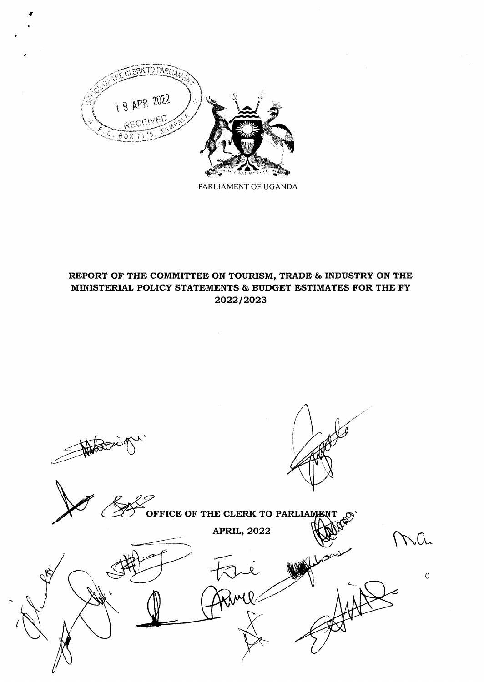

{ 4

PARLIAMENT OF UGANDA

# REPORT OF THE COMMITTEE ON TOURISM, TRADE & TNDUSTRY ON THE MINISTERIAL POLICY STATEMENTS & BUDGET ESTIMATES FOR THE FY 202212023

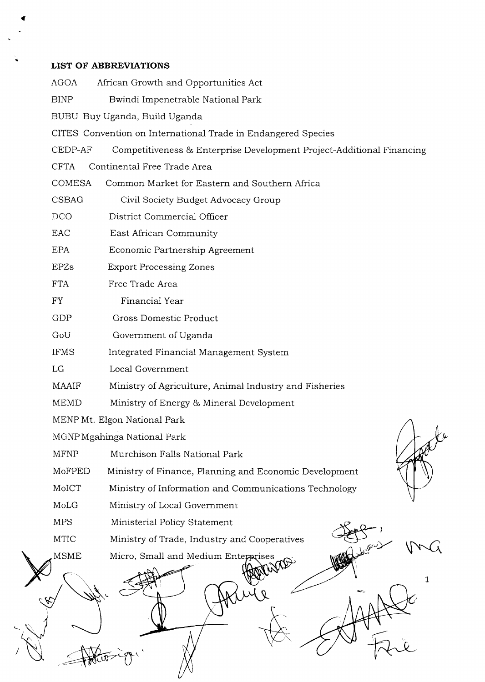# LIST OF ABBREVIATIONS

(

| <b>AGOA</b>   | African Growth and Opportunities Act                                  |
|---------------|-----------------------------------------------------------------------|
| <b>BINP</b>   | Bwindi Impenetrable National Park                                     |
|               | BUBU Buy Uganda, Build Uganda                                         |
|               | CITES Convention on International Trade in Endangered Species         |
| CEDP-AF       | Competitiveness & Enterprise Development Project-Additional Financing |
| <b>CFTA</b>   | Continental Free Trade Area                                           |
| <b>COMESA</b> | Common Market for Eastern and Southern Africa                         |
| <b>CSBAG</b>  | Civil Society Budget Advocacy Group                                   |
| <b>DCO</b>    | District Commercial Officer                                           |
| <b>EAC</b>    | East African Community                                                |
| <b>EPA</b>    | Economic Partnership Agreement                                        |
| <b>EPZs</b>   | <b>Export Processing Zones</b>                                        |
| <b>FTA</b>    | Free Trade Area                                                       |
| <b>FY</b>     | Financial Year                                                        |
| GDP           | Gross Domestic Product                                                |
| GoU           | Government of Uganda                                                  |
| <b>IFMS</b>   | Integrated Financial Management System                                |
| LG            | Local Government                                                      |
| <b>MAAIF</b>  | Ministry of Agriculture, Animal Industry and Fisheries                |
| <b>MEMD</b>   | Ministry of Energy & Mineral Development                              |
|               | MENP Mt. Elgon National Park                                          |
|               | MGNP Mgahinga National Park                                           |
| <b>MFNP</b>   | Murchison Falls National Park                                         |
| MoFPED        | Ministry of Finance, Planning and Economic Development                |
| MoICT         | Ministry of Information and Communications Technology                 |
| MoLG          | Ministry of Local Government                                          |
| <b>MPS</b>    | Ministerial Policy Statement                                          |
| MTIC          | Ministry of Trade, Industry and Cooperatives                          |
| MSME          | Micro, Small and Medium Enterprises                                   |
|               |                                                                       |
|               |                                                                       |
|               |                                                                       |
|               |                                                                       |
|               |                                                                       |
|               |                                                                       |

Ņ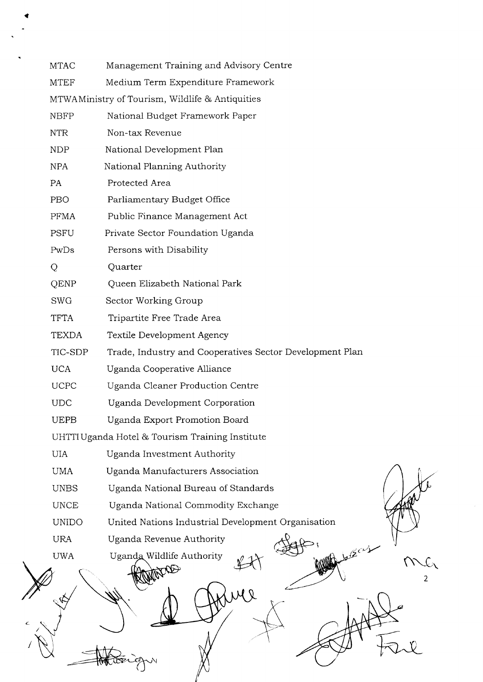| <b>MTAC</b>  | Management Training and Advisory Centre                  |
|--------------|----------------------------------------------------------|
| <b>MTEF</b>  | Medium Term Expenditure Framework                        |
|              | MTWAMinistry of Tourism, Wildlife & Antiquities          |
| <b>NBFP</b>  | National Budget Framework Paper                          |
| <b>NTR</b>   | Non-tax Revenue                                          |
| <b>NDP</b>   | National Development Plan                                |
| <b>NPA</b>   | National Planning Authority                              |
| PA           | Protected Area                                           |
| PBO          | Parliamentary Budget Office                              |
| <b>PFMA</b>  | Public Finance Management Act                            |
| <b>PSFU</b>  | Private Sector Foundation Uganda                         |
| PwDs         | Persons with Disability                                  |
| Q            | Quarter                                                  |
| QENP         | Queen Elizabeth National Park                            |
| <b>SWG</b>   | Sector Working Group                                     |
| <b>TFTA</b>  | Tripartite Free Trade Area                               |
| <b>TEXDA</b> | Textile Development Agency                               |
| TIC-SDP      | Trade, Industry and Cooperatives Sector Development Plan |
| <b>UCA</b>   | Uganda Cooperative Alliance                              |
| <b>UCPC</b>  | Uganda Cleaner Production Centre                         |
| <b>UDC</b>   | Uganda Development Corporation                           |
| <b>UEPB</b>  | Uganda Export Promotion Board                            |
|              | UHTTI Uganda Hotel & Tourism Training Institute          |
| <b>UIA</b>   | Uganda Investment Authority                              |
| <b>UMA</b>   | Uganda Manufacturers Association                         |
| <b>UNBS</b>  | Uganda National Bureau of Standards                      |
| <b>UNCE</b>  | Uganda National Commodity Exchange                       |
| <b>UNIDO</b> | United Nations Industrial Development Organisation       |
| <b>URA</b>   | Uganda Revenue Authority                                 |
| <b>UWA</b>   | Uganda Wildlife Authority<br>2                           |
|              |                                                          |
|              |                                                          |

 $\hat{\mathcal{E}}$ 

i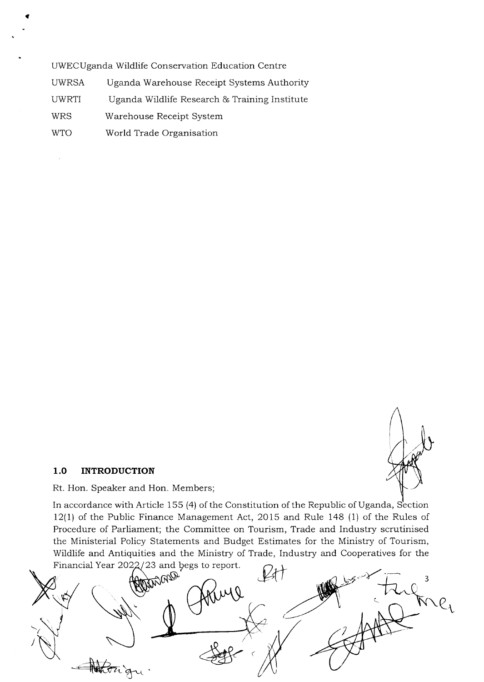UWECUganda Wildlife Conservation Education Centre

UWRSA Uganda Warehouse Receipt Systems Authority

UWRTI Uganda Wildlife Research & Training Institute

WRS Warehouse Receipt System

i

 $\bar{\epsilon}$ 

WTO World Trade Organisation

#### 1.O INTRODUCTION

Rt. Hon. Speaker and Hon. Members;

In accordance with Article 155 (4) of the Constitution of the Republic of Uganda, Section 12(1) of the Public Finance Management Act, 2015 and Rule 148 (1) of the Rules of Procedure of Parliament; the Committee on Tourism, Trade and Industry scrutinised the Ministerial Policy Statements and Budget Estimates for the Ministry of Tourism, Financial Year 2022/23 and begs to report.

Wildlife and Antiquities and the Ministry of Trade, Industry and Cooperatives for the <sup>23</sup>and pegs to report w 3 /  $\bigoplus$  and  $\mathcal{C}_{\mathcal{C}}$  $\langle$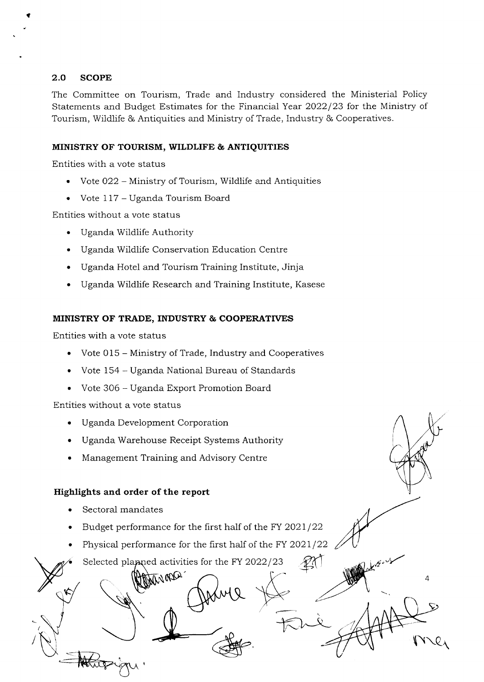#### 2.O SCOPE

i

The Committee on Tourism, Trade and Industry considered the Ministerial Policy Statements and Budget Estimates for the Financial Year 2022/23 for the Ministry of Tourism, Wildlife & Antiquities and Ministry of Trade, Industry & Cooperatives.

#### MINISTRY OF TOURISM, WILDLIFE & ANTIQUITIES

Entities with a vote status

- o Vote O22 Ministry of Tourism, Wildlife and Antiquities
- Vote 117 Uganda Tourism Board

Entities without a vote status

- . Uganda Wildlife Authority
- . Uganda Wildlife Conservation Education Centre
- Uganda Hotel and Tourism Training Institute, Jinja
- . Uganda Wildlife Research and Training Institute, Kasese

#### MINISTRY OF TRADE, TNDUSTRY & COOPERATTVES

Entities with a vote status

- . Vote 015 Ministry of Trade, Industry and Cooperatives
- Vote 154 Uganda National Bureau of Standards
- . Vote 306 Uganda Export Promotion Board

Entities without a vote status

- . Uganda Deveiopment Corporation
- . Uganda Warehouse Receipt Systems Authority
- . Management Training and Advisory Centre

#### Highlights and order of the report

- Sectoral mandates
- Budget performance for the first half of the FY  $2021/22$
- Physical performance for the first half of the FY 2021/22  $\angle$

4

 $\ddot{\phantom{0}}$ 

 $k\sim$  and  $k\sim$ 

Selected planned activities for the FY 2022/23

NOOL'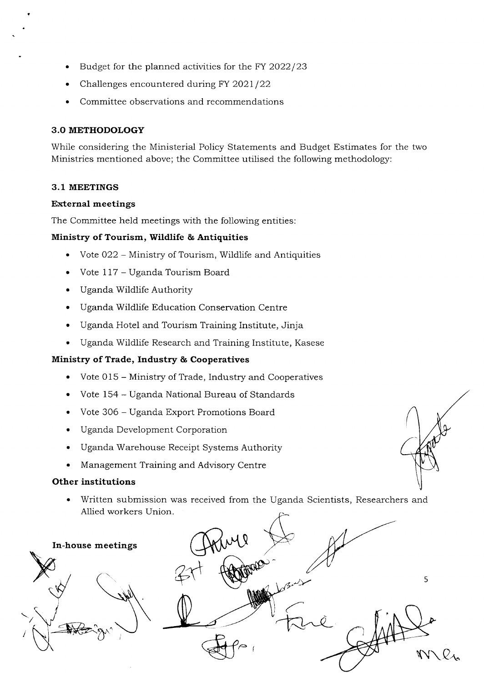- Budget for the planned activities for the FY 2022/23
- Challenges encountered during FY 2021/22
- . Committee observations and recommendations

#### 3.O METHODOLOGY

While considering the Ministerial Policy Statements and Budget Estimates for the two Ministries mentioned above; the Committee utilised the following methodology:

#### 3.1 MEETINGS

#### External meetings

The Committee held meetings with the following entities:

#### Ministry of Tourism, Wildlife & Antiquities

- . Vote O22 Ministry of Tourism, Wildlife and Antiquities
- Vote 117 Uganda Tourism Board
- . Uganda Wildlife Authority
- . Uganda Wildlife Education Conservation Centre
- . Uganda Hotel and Tourism Training Institute, Jinja
- . Uganda Wildlife Research and Training Institute, Kasese

#### Ministry of Trade, Industry & Cooperatives

- . Vote 015 Ministry of Trade, Industry and Cooperatives
- . Vote 154 Uganda National Bureau of Standards
- . Vote 306 Uganda Export Promotions Board
- . Uganda Development Corporation
- . Uganda Warehouse Receipt Systems Authority
- Management Training and Advisory Centre

#### Other institutions

. Written submission was received from the Uganda Scientists, Researchers and Allied workers Union



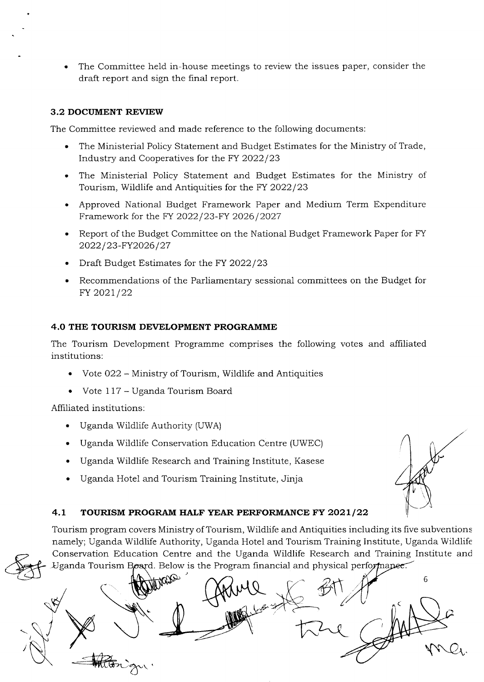The Committee held in-house meetings to review the issues paper, consider the draft report and sign the final report. a

#### 3.2 DOCUMENT REVIEW

The Committee reviewed and made reference to the following documents:

- . The Ministerial Policy Statement and Budget Estimates for the Ministry of Trade, Industry and Cooperatives for the FY 2022/23
- . The Ministerial Policy Statement and Budget Estimates for the Ministry of Tourism, Wildlife and Antiquities for the FY 2022/23
- . Approved National Budget Framework Paper and Medium Term Expenditure Framework for the FY 2022/23-FY 2026/2027
- Report of the Budget Committee on the National Budget Framework Paper for FY 2022/23-FY2026/27
- Draft Budget Estimates for the FY 2022/23
- Recommendations of the Parliamentary sessional committees on the Budget for FY 2021/22

#### 4.O THE TOURISM DEVELOPMENT PROGRAMME

The Tourism Development Programme comprises the following votes and affiliated institutions:

- Vote 022 Ministry of Tourism, Wildlife and Antiquities
- o Vote L17 Uganda Tourism Board

Affiliated institutions:

- . Uganda Wildlife Authority (UWA)
- . Uganda Wildlife Conservation Education Centre (UWEC)
- . Uganda Wildlife Research and Training Institute, Kasese
- Uganda Hotel and Tourism Training Institute, Jinja

# 4.1 TOURISM PROGRAM HALF YEAR PERFORMANCE FY 2021/22

Tourism program covers Ministry of Tourism, Wildlife and Antiquities including its five subventions namely; Uganda Wildlife Authority, Uganda Hotel and Tourism Training Institute, Uganda Wildlife Conservation Education Centre and the Uganda Wildlife Research and Training Institute and Uganda Tourism Board. Below is the Program financial and physical performance.

E 6  $\mathscr{B}^{\dagger}$ v qxCr,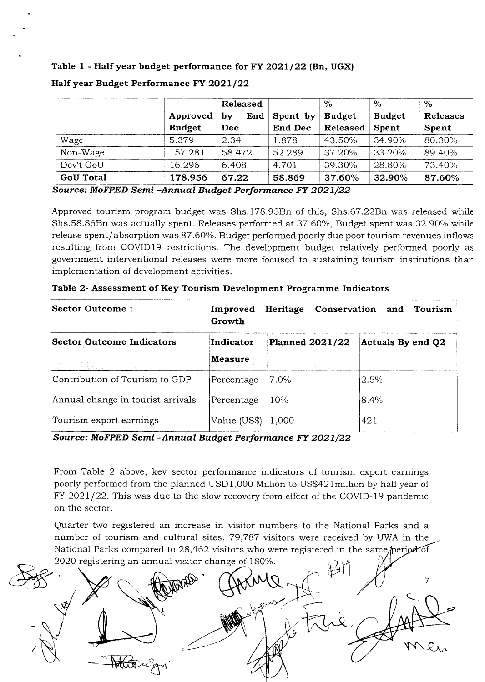Table 1 - Half year budget performance for FY 2021/22 (Bn, UGX)

|                  |               | Released  |                | $\frac{6}{6}$ | $\%$          | $\%$     |
|------------------|---------------|-----------|----------------|---------------|---------------|----------|
|                  | Approved      | End<br>bv | Spent by       | <b>Budget</b> | <b>Budget</b> | Releases |
|                  | <b>Budget</b> | Dec       | <b>End Dec</b> | Released      | Spent         | Spent    |
| Wage             | 5.379         | 2.34      | 1.878          | 43.50%        | 34.90%        | 80.30%   |
| Non-Wage         | 157.281       | 58.472    | 52.289         | 37.20%        | 33.20%        | 89.40%   |
| Dev't GoU        | 16.296        | 6.408     | 4.701          | 39.30%        | 28.80%        | 73.40%   |
| <b>GoU Total</b> | 178.956       | 67.22     | 58.869         | 37.60%        | 32.90%        | 87.60%   |

#### Half year Budget Performance FY 2021/22

Source: MoFPED Semi-Annual Budget Performance FY 2021/22

Approved tourism program budget was Shs.178.95Bn of this, Shs.67.22Bn was released while Shs.58.86Bn was actually spent. Releases performed at 37.60%, Budget spent was 32.90% while release spent/absorption was 87.60%. Budget performed poorly due poor tourism revenues inflows resulting from COVIDl9 restrictions. The development budget relatively performed poorly as government interventional releases were more focused to sustaining tourism institutions than implementation of development activities.

| Sector Outcome:                   | Improved<br>Growth | Heritage               | <b>Conservation and Tourism</b> |
|-----------------------------------|--------------------|------------------------|---------------------------------|
| <b>Sector Outcome Indicators</b>  | Indicator          | <b>Planned 2021/22</b> | Actuals By end Q2               |
|                                   | <b>Measure</b>     |                        |                                 |
| Contribution of Tourism to GDP    | Percentage         | 7.0%                   | 2.5%                            |
| Annual change in tourist arrivals | Percentage         | 10%                    | 8.4%                            |
| Tourism export earnings           | Value (US\$)       | 1,000                  | 421                             |

|  |  |  |  |  | Table 2- Assessment of Key Tourism Development Programme Indicators |  |  |
|--|--|--|--|--|---------------------------------------------------------------------|--|--|
|--|--|--|--|--|---------------------------------------------------------------------|--|--|

Source: MoFPED Semi-Annual Budget Performance FY 2021/22

From Table 2 above, key sector performance indicators of tourism export earnings poorly performed from the planned USD1,000 Million to US\$421million by half year of  $FY$  2021/22. This was due to the slow recovery from effect of the COVID-19 pandemic on the sector.

Quarter two registered an increase in visitor numbers to the National Parks and <sup>a</sup> number of tourism and cultural sites. 79,787 visitors were received by UWA in the National Parks compared to 28,462 visitors who were registered in the same/period of 2020 registering an annual visitor change of 180%.

7  $\zeta$ me.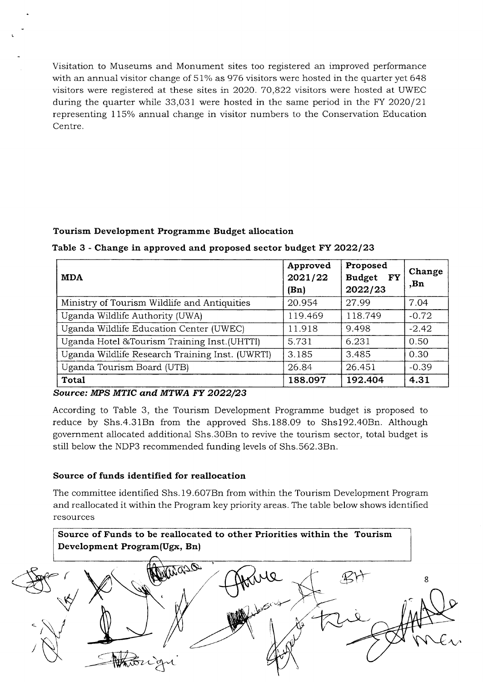Visitation to Museums and Monument sites too registered an improved performance with an annual visitor change of  $51\%$  as 976 visitors were hosted in the quarter yet 648 visitors were registered at these sites in 2O2O.7O,822 visitors were hosted at UWEC during the quarter while 33,031 were hosted in the sarne period in the FY 2O2O/21 representing 115% annual change in visitor numbers to the Conservation Education Centre.

## Tourism Development Programme Budget allocation

#### Table 3 - Change in approved and proposed sector budget FY 2022/23

| <b>MDA</b>                                      | Approved<br>2021/22<br>(Bn) | Proposed<br>Budget FY<br>2022/23 | Change<br>,Bn |
|-------------------------------------------------|-----------------------------|----------------------------------|---------------|
| Ministry of Tourism Wildlife and Antiquities    | 20.954                      | 27.99                            | 7.04          |
| Uganda Wildlife Authority (UWA)                 | 119.469                     | 118.749                          | $-0.72$       |
| Uganda Wildlife Education Center (UWEC)         | 11.918                      | 9.498                            | $-2.42$       |
| Uganda Hotel &Tourism Training Inst.(UHTTI)     | 5.731                       | 6.231                            | 0.50          |
| Uganda Wildlife Research Training Inst. (UWRTI) | 3.185                       | 3.485                            | 0.30          |
| Uganda Tourism Board (UTB)                      | 26.84                       | 26.451                           | $-0.39$       |
| <b>Total</b>                                    | 188.097                     | 192.404                          | 4.31          |

Source: MPS MTIC and MTWA FY 2022/23

According to Table 3, the Tourism Development Programme budget is proposed to reduce by Shs.4.31Bn from the approved Shs.188.09 to Shs192.4OBn. Although government aliocated additional Shs.3OBn to revive the tourism sector, total budget is still below the NDP3 recommended funding levels of Shs.562.3Bn.

#### Source of funds identified for reallocation

The committee identified Shs. 19.6O7Bn from within the Tourism Development Program and reallocated it within the Program key priority areas. The table below shows identified resources

Source of Funds to be reallocated to other Priorities within the Tourism Development Program(Ugx, Bn)

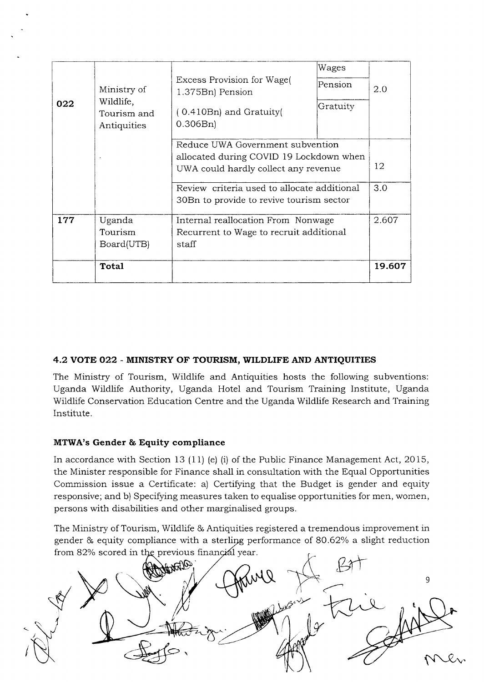| Wages    |                                                                                                                                                                                                                                                                                                  |
|----------|--------------------------------------------------------------------------------------------------------------------------------------------------------------------------------------------------------------------------------------------------------------------------------------------------|
| Pension  | 2.0                                                                                                                                                                                                                                                                                              |
| Gratuity |                                                                                                                                                                                                                                                                                                  |
|          |                                                                                                                                                                                                                                                                                                  |
|          |                                                                                                                                                                                                                                                                                                  |
|          | 12                                                                                                                                                                                                                                                                                               |
|          | 3.0                                                                                                                                                                                                                                                                                              |
|          |                                                                                                                                                                                                                                                                                                  |
|          | 2.607                                                                                                                                                                                                                                                                                            |
|          |                                                                                                                                                                                                                                                                                                  |
|          |                                                                                                                                                                                                                                                                                                  |
|          | 19.607                                                                                                                                                                                                                                                                                           |
|          | Reduce UWA Government subvention<br>allocated during COVID 19 Lockdown when<br>UWA could hardly collect any revenue<br>Review criteria used to allocate additional<br>30 Bn to provide to revive tourism sector<br>Internal reallocation From Nonwage<br>Recurrent to Wage to recruit additional |

# 4.2 VOTE O22 - MINISTRY OF TOURISM, WILDLIFE AND ANTIQUTTIES

The Ministry of Tourism, Wildlife and Antiquities hosts the following subventions: Uganda Wildlife Authority, Uganda Hotel and Tourism Training Institute, Uganda Wildlife Conservation Education Centre and the Uganda Wildlife Research and Training lnstitute.

# MTWA's Gender & Equity compliance

In accordance with Section 13 (11) (e) (i) of the Public Finance Management Act,  $2015$ , the Minister responsible for Finance shall in consultation with the Equal Opportunities Commission issue a Certificate: a) Certifying that the Budget is gender and equity responsive; and b) Specifying measures taken to equalise opportunities for men, women, persons with disabilities and other marginalised groups.

The Ministry of Tourism, Wildlife & Antiquities registered a tremendous improvement in gender  $\&$  equity compliance with a sterling performance of 80.62% a slight reduction from  $82\%$  scored in the previous financial year.

9 t I fN-q,\"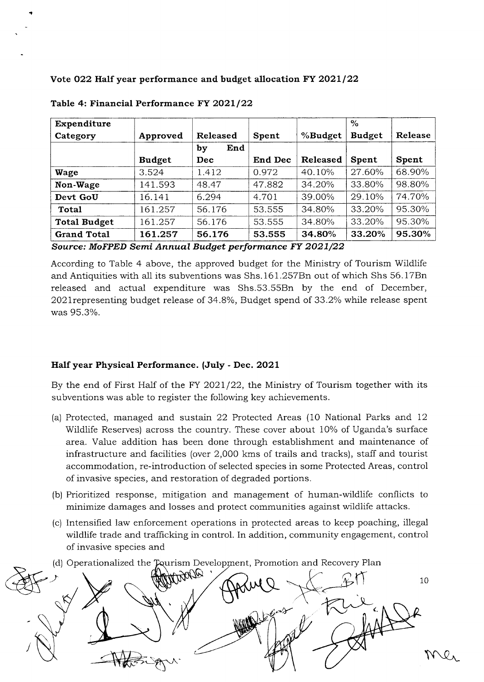Vote 022 Half year performance and budget allocation FY 2021/22

|               |           |         |                 | $\%$          |         |
|---------------|-----------|---------|-----------------|---------------|---------|
| Approved      | Released  | Spent   | %Budget         | <b>Budget</b> | Release |
|               | End<br>by |         |                 |               |         |
| <b>Budget</b> | Dec       | End Dec | <b>Released</b> | Spent         | Spent   |
| 3.524         | 1.412     | 0.972   | 40.10%          | 27.60%        | 68.90%  |
| 141.593       | 48.47     | 47.882  | 34.20%          | 33.80%        | 98.80%  |
| 16.141        | 6.294     | 4.701   | 39.00%          | 29.10%        | 74.70%  |
| 161.257       | 56.176    | 53.555  | 34.80%          | 33.20%        | 95.30%  |
| 161.257       | 56.176    | 53.555  | 34.80%          | 33.20%        | 95.30%  |
| 161.257       | 56.176    | 53.555  | 34.80%          | 33.20%        | 95.30%  |
|               |           |         |                 |               |         |

Table 4: Financial Performance FY 2021/22

ii

Source: MoFPED Semi Annual Budget performance FY 2021/22

According to Table 4 above, the approved budget for the Ministry of Tourism Wildlife and Antiquities with a1l its subventions was Shs.161.257En out of which Shs 56.l7Bn released and actual expenditure was Shs.53.55Bn by the end of December, 2021 representing budget release of 34.8%, Budget spend of 33.2% while release spent was 95.3%.

#### Half year Physical Performance. (July - Dec. 2O2L

By the end of First Half of the FY  $2021/22$ , the Ministry of Tourism together with its subventions was able to register the following key achievements.

- (a) Protected, managed and sustain 22 Protected Areas (10 National Parks and L2 Wildlife Reserves) across the country. These cover about 10% of Uganda's surface area. Value addition has been done through establishment and maintenance of infrastructure and facilities (over 2,000 kms of trails and tracks), staff and tourist accommodation, re-introduction of selected species in some Protected Areas, control of invasive species, and restoration of degraded portions.
- (b) Prioritized response, mitigation and management of human-wildlife conflicts to minimize damages and losses and protect communities against wildiife attacks.
- (c) Intensified law enforcement operations in protected areas to keep poaching, illegal wildlife trade and trafficking in control. In addition, community engagement, control of invasive species and
- (d) Operationalized the Tourism Development, Promotion and Recovery Plan

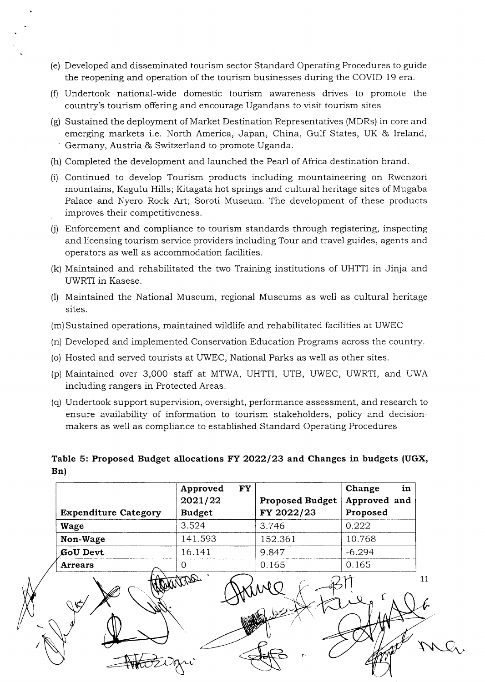- (e) Developed and disseminated tourism sector Standard Operating Procedures to guide the reopening and operation of the tourism businesses during the COVID 19 era.
- $(f)$  Undertook national-wide domestic tourism awareness drives to promote the country's tourism offering and encourage Ugandans to visit tourism sites
- (g) Sustained the deployment of Market Destination Representatives (MDRs) in core and emerging markets i.e. North America, Japan, China, Gulf States, UK & Ireland, ' Germany, Austria & Switzerland to promote Uganda.
- (h) Completed the development and launched the Pearl of Africa destination brand.
- (il Continued to develop Tourism products including mountaineering on Rwenzori mountains, Kagulu Hills; Kitagata hot springs and cultural heritage sites of Mugaba Palace and Nyero Rock Art; Soroti Museum. The development of these products improves their competitiveness.
- $(i)$  Enforcement and compliance to tourism standards through registering, inspecting and licensing tourism service providers including Tour and travel guides, agents and operators as well as accommodation facilities.
- (k) Maintained and rehabilitated the two Training institutions of UHTTI in Jinja and UWRTI in Kasese.
- (1) Maintained the National Museum, regional Museums as well as cultural heritage sites.
- (m)Sustained operations, maintained wildlife and rehabilitated facilities at UWEC
- (n) Developed and implemented Conservation Education Programs across the country.
- (o) Hosted and served tourists at UWEC, National Parks as well as other sites.
- (p) Maintained over 3,000 staff at MTWA, UHTTI, UTB, UWEC, UWRTI, and UWA including rangers in Protected Areas.
- (q) Undertook support supervision, oversight, performance assessment, and research to ensure availability of information to tourism stakeholders, poiicy and decisionmakers as well as compliance to established Standard Operating Procedures

Table 5: Proposed Budget allocations FY 2022/23 and Changes in budgets (UGX, Bn)

|                             | <b>FY</b><br>Approved<br>2021/22 | <b>Proposed Budget</b> | in<br>Change<br>Approved and |
|-----------------------------|----------------------------------|------------------------|------------------------------|
| <b>Expenditure Category</b> | <b>Budget</b>                    | FY 2022/23             | Proposed                     |
| Wage                        | 3.524                            | 3.746                  | 0.222                        |
| Non-Wage                    | 141.593                          | 152.361                | 10.768                       |
| GoU Devt                    | 16.141                           | 9.847                  | $-6.294$                     |
| <b>Arrears</b>              | 0                                | 0.165                  | 0.165                        |
|                             | art                              |                        |                              |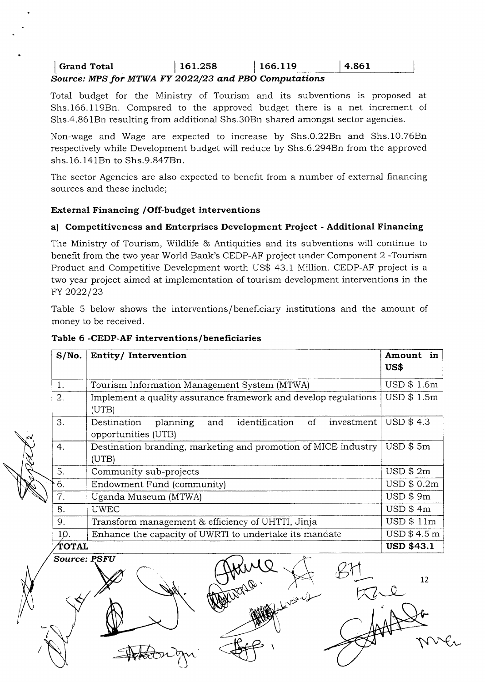# Grand Total  $\begin{array}{|c|c|c|c|c|c|c|c|c|} \hline \text{161.258} & \text{166.119} & \text{4.861} \hline \end{array}$

# Source: MPS for MTWA FY 2022/23 and PBO Computations

Total budget for the Ministry of Tourism and its subventions is proposed at Shs.166.119Bn. Compared to the approved budget there is a net increment of Shs.4.861Bn resulting from additional Shs.30Bn shared amongst sector agencies.

Non-wage and Wage are expected to increase by Shs.0.22Bn and Shs.10.76Bn respectively while Development budget will reduce by Shs.6.294Bn from the approved shs. 16. 141 Bn to Shs. 9.847 Bn.

The sector Agencies are also expected to benefit from a number of external financing sources and these include;

#### External Financing / Off-budget interventions

## a) Competitiveness and Enterprises Development Project - Additional Financing

The Ministry of Tourism, Wildlife & Antiquities and its subventions will continue to benefit from the two year World Bank's CEDP-AF project under Component 2 -Tourism Product and Competitive Development worth US\$ 43.1 Million. CEDP-AF project is a two year project aimed at implementation of tourism development interventions in the FY 2022/23

Table 5 below shows the interventions/beneficiary institutions and the amount of money to be received.

| S/No. | Entity/Intervention                                                                      | Amount in<br>US\$ |  |  |  |  |
|-------|------------------------------------------------------------------------------------------|-------------------|--|--|--|--|
| 1.    | Tourism Information Management System (MTWA)                                             | USD \$1.6m        |  |  |  |  |
| 2.    | Implement a quality assurance framework and develop regulations<br>(UTB)                 | USD \$1.5m        |  |  |  |  |
| 3.    | identification of<br>investment<br>planning<br>Destination<br>and<br>opportunities (UTB) | USD \$4.3         |  |  |  |  |
| 4.    | Destination branding, marketing and promotion of MICE industry<br>(UTB)                  | USD \$5m          |  |  |  |  |
| 5.    | Community sub-projects                                                                   | USD \$2m          |  |  |  |  |
| 6.    | Endowment Fund (community)                                                               | USD \$ 0.2m       |  |  |  |  |
| 7.    | Uganda Museum (MTWA)                                                                     | $USD$ \$ 9 $m$    |  |  |  |  |
| 8.    | <b>UWEC</b>                                                                              | USD \$4m          |  |  |  |  |
| 9.    | Transform management & efficiency of UHTTI, Jinja                                        | USD \$11m         |  |  |  |  |
| 10.   | Enhance the capacity of UWRTI to undertake its mandate                                   | USD \$4.5 m       |  |  |  |  |
| TOTAL | <b>USD \$43.1</b>                                                                        |                   |  |  |  |  |
|       | <b>Source: PSFU</b>                                                                      |                   |  |  |  |  |

(ر<br>موسيق

## Table 6 -CEDP-AF interventions/beneficiaries

 $\prec$ 

 $-$ 

17 €4  $n$ ver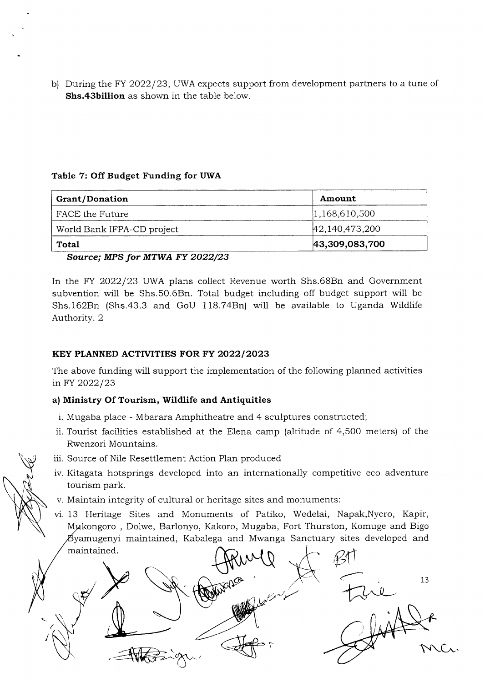b) During the FY 2022/23, UWA expects support from development partners to a tune of Shs.43billion as shown in the table below.

#### Table 7: Off Budget Funding for UWA

| <b>Grant/Donation</b>      | Amount          |
|----------------------------|-----------------|
| FACE the Future            | [1,168,610,500] |
| World Bank IFPA-CD project | 42,140,473,200  |
| Total                      | 43,309,083,700  |

Source; MPS for MTWA FY 2022/23

In the FY 2022/23 UWA plans collect Revenue worth Shs.68Bn and Government subvention will be Shs.50.6Bn. Total budget including off budget support will be Shs.162Bn (Shs.43.3 and GoU 118.74Bn) will be available to Uganda Wildlife Authority. 2

# KEY PLANNED ACTIVITIES FOR FY 2022/2023

The above funding will support the implementation of the following planned activities in FY 2022/23

# a) Ministry Of Tourism, Wildlife and Antiquities

- i. Mugaba place Mbarara Amphitheatre and 4 sculptures constructed;
- ii. Tourist facilities established at the Elena camp (altitude of 4,500 meters) of the Rwenzori Mountains.
- iii. Source of Nile Resettlement Action Plan produced
- iv. Kitagata hotsprings developed into an internationally competitive eco adventure tourism park.
- v. Maintain integrity of cultural or heritage sites and monuments:
- vi. 13 Heritage Sites and Monuments of Patiko, Wedelai, Napak,Nyero, Kapir, Mukongoro, Dolwe, Barlonyo, Kakoro, Mugaba, Fort Thurston, Komuge and Bigo  $\not\!\!\!\!\!B$ yamugenyi maintained, Kabalega and Mwanga Sanctuary sites developed and

maintained.<br>
Settlement of the settlement of the settlement of the settlement of the settlement of the settlement of the settlement of the settlement of the settlement of the settlement of the settlement of the settlement Tapo 13 1 r  $\mathcal{M}\mathcal{C}_v$